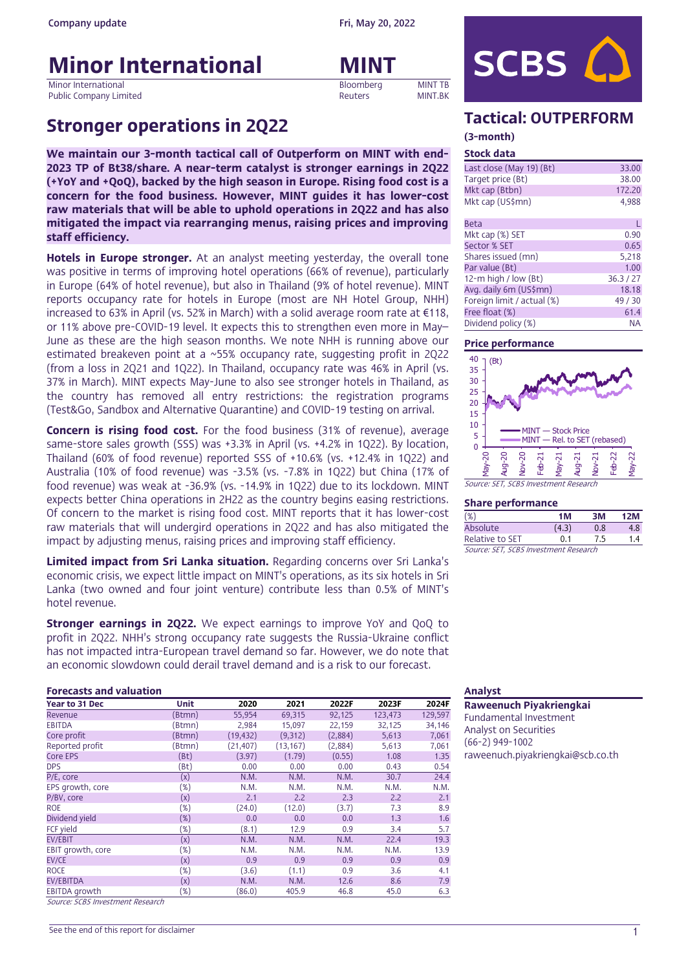# **Minor International MINT**

Minor International and the company of the company of the company of the company of the company of the company of the company of the company of the company of the company of the company of the company of the company of the Public Company Limited

# Stronger operations in 2Q22 Tactical: OUTPERFORM

We maintain our 3-month tactical call of Outperform on MINT with end-2023 TP of Bt38/share. A near-term catalyst is stronger earnings in 2Q22 (+YoY and +QoQ), backed by the high season in Europe. Rising food cost is a concern for the food business. However, MINT guides it has lower-cost raw materials that will be able to uphold operations in 2Q22 and has also mitigated the impact via rearranging menus, raising prices and improving staff efficiency.

Hotels in Europe stronger. At an analyst meeting yesterday, the overall tone was positive in terms of improving hotel operations (66% of revenue), particularly in Europe (64% of hotel revenue), but also in Thailand (9% of hotel revenue). MINT reports occupancy rate for hotels in Europe (most are NH Hotel Group, NHH) increased to 63% in April (vs. 52% in March) with a solid average room rate at  $\epsilon$ 118, or 11% above pre-COVID-19 level. It expects this to strengthen even more in May– June as these are the high season months. We note NHH is running above our estimated breakeven point at a ~55% occupancy rate, suggesting profit in 2Q22 (from a loss in 2Q21 and 1Q22). In Thailand, occupancy rate was 46% in April (vs. 37% in March). MINT expects May-June to also see stronger hotels in Thailand, as the country has removed all entry restrictions: the registration programs (Test&Go, Sandbox and Alternative Quarantine) and COVID-19 testing on arrival.

Concern is rising food cost. For the food business (31% of revenue), average same-store sales growth (SSS) was +3.3% in April (vs. +4.2% in 1Q22). By location, Thailand (60% of food revenue) reported SSS of +10.6% (vs. +12.4% in 1Q22) and Australia (10% of food revenue) was -3.5% (vs. -7.8% in 1Q22) but China (17% of food revenue) was weak at -36.9% (vs. -14.9% in 1Q22) due to its lockdown. MINT expects better China operations in 2H22 as the country begins easing restrictions. Of concern to the market is rising food cost. MINT reports that it has lower-cost raw materials that will undergird operations in 2Q22 and has also mitigated the impact by adjusting menus, raising prices and improving staff efficiency.

Limited impact from Sri Lanka situation. Regarding concerns over Sri Lanka's economic crisis, we expect little impact on MINT's operations, as its six hotels in Sri Lanka (two owned and four joint venture) contribute less than 0.5% of MINT's hotel revenue.

**Stronger earnings in 2Q22.** We expect earnings to improve YoY and QoQ to profit in 2Q22. NHH's strong occupancy rate suggests the Russia-Ukraine conflict has not impacted intra-European travel demand so far. However, we do note that an economic slowdown could derail travel demand and is a risk to our forecast.

#### **Forecasts and valuation** Analyst **Analyst Analyst Analyst Analyst**

| Year to 31 Dec       | <b>Unit</b>   | 2020      | 2021      | 2022F   | 2023F   | 2024F   |
|----------------------|---------------|-----------|-----------|---------|---------|---------|
| Revenue              | (Btmn)        | 55,954    | 69,315    | 92,125  | 123,473 | 129,597 |
| <b>EBITDA</b>        | (Btmn)        | 2,984     | 15,097    | 22,159  | 32,125  | 34,146  |
| Core profit          | (Btmn)        | (19, 432) | (9,312)   | (2,884) | 5,613   | 7,061   |
| Reported profit      | (Btmn)        | (21, 407) | (13, 167) | (2,884) | 5,613   | 7,061   |
| Core EPS             | (Bt)          | (3.97)    | (1.79)    | (0.55)  | 1.08    | 1.35    |
| <b>DPS</b>           | (Bt)          | 0.00      | 0.00      | 0.00    | 0.43    | 0.54    |
| P/E, core            | (x)           | N.M.      | N.M.      | N.M.    | 30.7    | 24.4    |
| EPS growth, core     | (%)           | N.M.      | N.M.      | N.M.    | N.M.    | N.M.    |
| P/BV, core           | (x)           | 2.1       | 2.2       | 2.3     | 2.2     | 2.1     |
| ROE                  | (%)           | (24.0)    | (12.0)    | (3.7)   | 7.3     | 8.9     |
| Dividend yield       | $(\%)$        | 0,0       | 0.0       | 0,0     | 1.3     | 1.6     |
| FCF yield            | (%)           | (8.1)     | 12.9      | 0.9     | 3.4     | 5.7     |
| <b>EV/EBIT</b>       | (x)           | N.M.      | N.M.      | N.M.    | 22.4    | 19.3    |
| EBIT growth, core    | (%)           | N.M.      | N.M.      | N.M.    | N.M.    | 13.9    |
| EV/CE                | (x)           | 0.9       | 0.9       | 0.9     | 0.9     | 0.9     |
| <b>ROCE</b>          | $(\%)$        | (3.6)     | (1.1)     | 0.9     | 3.6     | 4.1     |
| <b>EV/EBITDA</b>     | (x)           | N.M.      | N.M.      | 12.6    | 8.6     | 7.9     |
| <b>EBITDA</b> growth | (%)<br>$\sim$ | (86.0)    | 405.9     | 46.8    | 45.0    | 6.3     |

Source: SCBS Investment Research



#### (3-month) Stock data

| <b>SLUCK Udld</b>          |           |
|----------------------------|-----------|
| Last close (May 19) (Bt)   | 33,00     |
| Target price (Bt)          | 38,00     |
| Mkt cap (Btbn)             | 172,20    |
| Mkt cap (US\$mn)           | 4,988     |
| <b>Beta</b>                | L         |
| Mkt cap (%) SET            | 0.90      |
| Sector % SET               | 0.65      |
| Shares issued (mn)         | 5,218     |
| Par value (Bt)             | 1.00      |
| 12-m high / low (Bt)       | 36.3 / 27 |
| Avg. daily 6m (US\$mn)     | 18.18     |
| Foreign limit / actual (%) | 49 / 30   |
| Free float (%)             | 61.4      |
| Dividend policy (%)        | ΝA        |

#### Price performance



#### Share performance

| $(\%)$                                | 1M    | зM  | 12M |
|---------------------------------------|-------|-----|-----|
| Absolute                              | (4.3) | 0.8 | 4.8 |
| Relative to SET                       | 0.1   | 7.5 | 1.4 |
| Source: SET, SCBS Investment Research |       |     |     |

Raweenuch Piyakriengkai Fundamental Investment Analyst on Securities (66-2) 949-1002 raweenuch.piyakriengkai@scb.co.th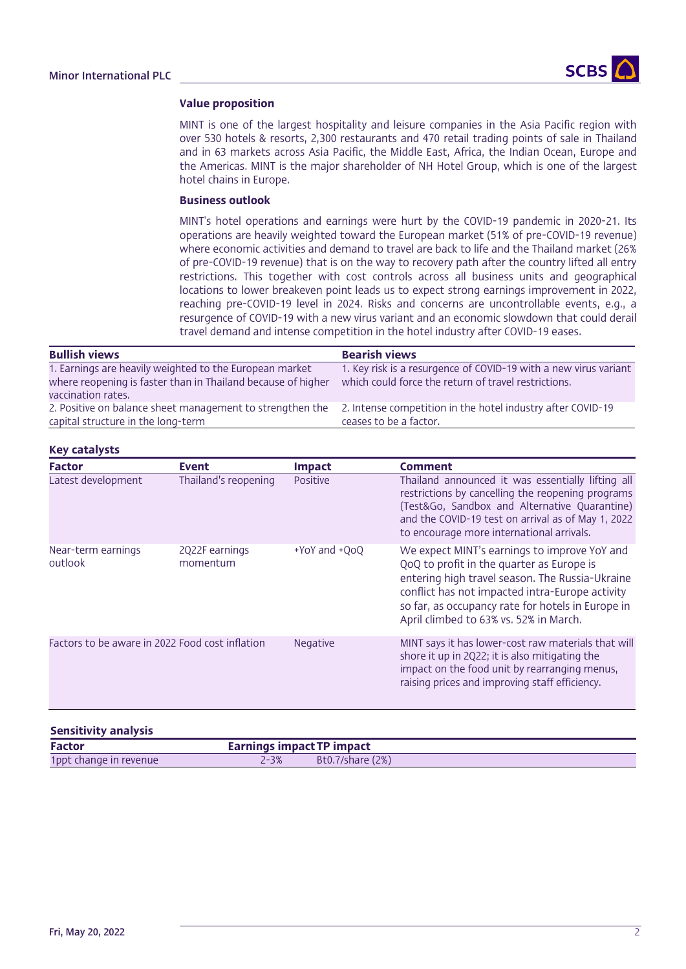

#### Value proposition

MINT is one of the largest hospitality and leisure companies in the Asia Pacific region with over 530 hotels & resorts, 2,300 restaurants and 470 retail trading points of sale in Thailand and in 63 markets across Asia Pacific, the Middle East, Africa, the Indian Ocean, Europe and the Americas. MINT is the major shareholder of NH Hotel Group, which is one of the largest hotel chains in Europe.

### Business outlook

MINT's hotel operations and earnings were hurt by the COVID-19 pandemic in 2020-21. Its operations are heavily weighted toward the European market (51% of pre-COVID-19 revenue) where economic activities and demand to travel are back to life and the Thailand market (26% of pre-COVID-19 revenue) that is on the way to recovery path after the country lifted all entry restrictions. This together with cost controls across all business units and geographical locations to lower breakeven point leads us to expect strong earnings improvement in 2022, reaching pre-COVID-19 level in 2024. Risks and concerns are uncontrollable events, e.g., a resurgence of COVID-19 with a new virus variant and an economic slowdown that could derail travel demand and intense competition in the hotel industry after COVID-19 eases.

| <b>Bullish views</b>                                                                                                                          | <b>Bearish views</b>                                                                                                     |
|-----------------------------------------------------------------------------------------------------------------------------------------------|--------------------------------------------------------------------------------------------------------------------------|
| 1. Earnings are heavily weighted to the European market<br>where reopening is faster than in Thailand because of higher<br>vaccination rates. | 1. Key risk is a resurgence of COVID-19 with a new virus variant<br>which could force the return of travel restrictions. |
| 2. Positive on balance sheet management to strengthen the<br>capital structure in the long-term                                               | 2. Intense competition in the hotel industry after COVID-19<br>ceases to be a factor.                                    |

### Key catalysts

| <b>Factor</b>                                   | <b>Event</b>               | <b>Impact</b> | Comment                                                                                                                                                                                                                                                                                        |
|-------------------------------------------------|----------------------------|---------------|------------------------------------------------------------------------------------------------------------------------------------------------------------------------------------------------------------------------------------------------------------------------------------------------|
| Latest development                              | Thailand's reopening       | Positive      | Thailand announced it was essentially lifting all<br>restrictions by cancelling the reopening programs<br>(Test&Go, Sandbox and Alternative Quarantine)<br>and the COVID-19 test on arrival as of May 1, 2022<br>to encourage more international arrivals.                                     |
| Near-term earnings<br>outlook                   | 2Q22F earnings<br>momentum | +YoY and +QoQ | We expect MINT's earnings to improve YoY and<br>QoQ to profit in the quarter as Europe is<br>entering high travel season. The Russia-Ukraine<br>conflict has not impacted intra-Europe activity<br>so far, as occupancy rate for hotels in Europe in<br>April climbed to 63% vs. 52% in March. |
| Factors to be aware in 2022 Food cost inflation |                            | Negative      | MINT says it has lower-cost raw materials that will<br>shore it up in 2Q22; it is also mitigating the<br>impact on the food unit by rearranging menus,<br>raising prices and improving staff efficiency.                                                                                       |

| <b>Sensitivity analysis</b> |                           |                         |
|-----------------------------|---------------------------|-------------------------|
| Factor                      | Earnings impact TP impact |                         |
| 1ppt change in revenue      | $2 - 3%$                  | <b>Bt0.7/share (2%)</b> |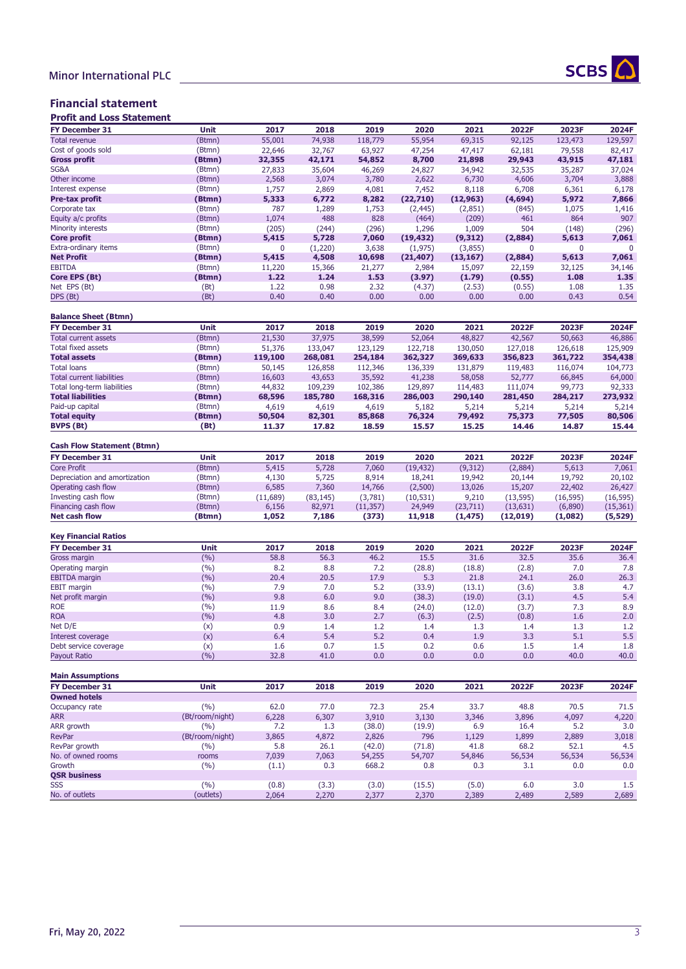

# Minor International PLC

### Financial statement

| <b>Profit and Loss Statement</b>  |                 |             |           |           |           |           |           |              |           |
|-----------------------------------|-----------------|-------------|-----------|-----------|-----------|-----------|-----------|--------------|-----------|
| FY December 31                    | Unit            | 2017        | 2018      | 2019      | 2020      | 2021      | 2022F     | 2023F        | 2024F     |
| <b>Total revenue</b>              | (Btmn)          | 55,001      | 74,938    | 118,779   | 55,954    | 69,315    | 92,125    | 123,473      | 129,597   |
| Cost of goods sold                | (Btmn)          | 22,646      | 32.767    | 63,927    | 47,254    | 47,417    | 62,181    | 79,558       | 82,417    |
| <b>Gross profit</b>               | (Btmn)          | 32,355      | 42,171    | 54,852    | 8,700     | 21,898    | 29,943    | 43,915       | 47,181    |
| SG&A                              | (Btmn)          | 27,833      | 35,604    | 46,269    | 24,827    | 34,942    | 32,535    | 35,287       | 37,024    |
| Other income                      | (Btmn)          | 2,568       | 3,074     | 3,780     | 2,622     | 6,730     | 4,606     | 3,704        | 3,888     |
| Interest expense                  | (Btmn)          | 1,757       | 2,869     | 4,081     | 7,452     | 8,118     | 6,708     | 6,361        | 6,178     |
| Pre-tax profit                    | (Btmn)          | 5,333       | 6,772     | 8,282     | (22,710)  | (12, 963) | (4,694)   | 5,972        | 7,866     |
| Corporate tax                     | (Btmn)          | 787         | 1,289     | 1,753     | (2, 445)  | (2,851)   | (845)     | 1,075        | 1,416     |
| Equity a/c profits                | (Btmn)          | 1,074       | 488       | 828       | (464)     | (209)     | 461       | 864          | 907       |
| Minority interests                |                 |             |           |           |           |           |           |              |           |
|                                   | (Btmn)          | (205)       | (244)     | (296)     | 1,296     | 1,009     | 504       | (148)        | (296)     |
| <b>Core profit</b>                | (Btmn)          | 5,415       | 5,728     | 7,060     | (19, 432) | (9,312)   | (2,884)   | 5,613        | 7,061     |
| Extra-ordinary items              | (Btmn)          | $\mathbf 0$ | (1,220)   | 3,638     | (1, 975)  | (3,855)   | $\Omega$  | $\mathbf{0}$ | 0         |
| <b>Net Profit</b>                 | (Btmn)          | 5,415       | 4,508     | 10,698    | (21, 407) | (13, 167) | (2,884)   | 5,613        | 7,061     |
| <b>EBITDA</b>                     | (Btmn)          | 11,220      | 15,366    | 21,277    | 2,984     | 15,097    | 22,159    | 32,125       | 34,146    |
| Core EPS (Bt)                     | (Btmn)          | 1.22        | 1.24      | 1.53      | (3.97)    | (1.79)    | (0.55)    | 1.08         | 1.35      |
| Net EPS (Bt)                      | (Bt)            | 1.22        | 0.98      | 2.32      | (4.37)    | (2.53)    | (0.55)    | 1.08         | 1.35      |
| DPS (Bt)                          | (Bt)            | 0.40        | 0.40      | 0.00      | 0.00      | 0.00      | 0.00      | 0.43         | 0.54      |
| <b>Balance Sheet (Btmn)</b>       |                 |             |           |           |           |           |           |              |           |
| <b>FY December 31</b>             | Unit            | 2017        | 2018      | 2019      | 2020      | 2021      | 2022F     | 2023F        | 2024F     |
| <b>Total current assets</b>       |                 |             |           |           |           |           |           |              |           |
|                                   | (Btmn)          | 21,530      | 37,975    | 38,599    | 52,064    | 48,827    | 42,567    | 50,663       | 46,886    |
| <b>Total fixed assets</b>         | (Btmn)          | 51,376      | 133,047   | 123,129   | 122,718   | 130,050   | 127,018   | 126,618      | 125,909   |
| <b>Total assets</b>               | (Btmn)          | 119,100     | 268,081   | 254,184   | 362,327   | 369,633   | 356,823   | 361,722      | 354,438   |
| <b>Total loans</b>                | (Btmn)          | 50,145      | 126,858   | 112,346   | 136,339   | 131,879   | 119,483   | 116,074      | 104,773   |
| <b>Total current liabilities</b>  | (Btmn)          | 16,603      | 43,653    | 35,592    | 41,238    | 58,058    | 52,777    | 66,845       | 64,000    |
| Total long-term liabilities       | (Btmn)          | 44,832      | 109,239   | 102,386   | 129,897   | 114,483   | 111,074   | 99,773       | 92,333    |
| <b>Total liabilities</b>          | (Btmn)          | 68,596      | 185,780   | 168,316   | 286,003   | 290,140   | 281,450   | 284,217      | 273,932   |
| Paid-up capital                   | (Btmn)          | 4,619       | 4,619     | 4,619     | 5,182     | 5,214     | 5,214     | 5,214        | 5,214     |
| <b>Total equity</b>               | (Btmn)          | 50,504      | 82,301    | 85,868    | 76,324    | 79,492    | 75,373    | 77,505       | 80,506    |
| <b>BVPS (Bt)</b>                  | (Bt)            | 11.37       | 17.82     | 18.59     | 15.57     | 15.25     | 14.46     | 14.87        | 15.44     |
|                                   |                 |             |           |           |           |           |           |              |           |
| <b>Cash Flow Statement (Btmn)</b> |                 |             |           |           |           |           |           |              |           |
| FY December 31                    | Unit            | 2017        | 2018      | 2019      | 2020      | 2021      | 2022F     | 2023F        | 2024F     |
| <b>Core Profit</b>                | (Btmn)          | 5,415       | 5,728     | 7,060     | (19, 432) | (9,312)   | (2,884)   | 5,613        | 7,061     |
| Depreciation and amortization     | (Btmn)          | 4,130       | 5,725     | 8,914     | 18,241    | 19,942    | 20,144    | 19,792       | 20,102    |
| Operating cash flow               | (Btmn)          | 6,585       | 7,360     | 14,766    | (2,500)   | 13,026    | 15,207    | 22,402       | 26,427    |
| Investing cash flow               | (Btmn)          | (11,689)    | (83, 145) | (3,781)   | (10, 531) | 9,210     | (13, 595) | (16, 595)    | (16, 595) |
| Financing cash flow               | (Btmn)          | 6,156       | 82,971    | (11, 357) | 24,949    | (23, 711) | (13, 631) | (6,890)      | (15, 361) |
| <b>Net cash flow</b>              | (Btmn)          | 1,052       | 7,186     | (373)     | 11,918    | (1, 475)  | (12,019)  | (1,082)      | (5, 529)  |
|                                   |                 |             |           |           |           |           |           |              |           |
| <b>Key Financial Ratios</b>       |                 |             |           |           |           |           |           |              |           |
| <b>FY December 31</b>             | Unit            | 2017        | 2018      | 2019      | 2020      | 2021      | 2022F     | 2023F        | 2024F     |
| Gross margin                      | (%)             | 58.8        | 56.3      | 46.2      | 15.5      | 31.6      | 32.5      | 35.6         | 36.4      |
| Operating margin                  | (9/6)           | 8.2         | 8.8       | 7.2       | (28.8)    | (18.8)    | (2.8)     | 7.0          | 7.8       |
| <b>EBITDA</b> margin              | (%)             | 20.4        | 20.5      | 17.9      | 5.3       | 21.8      | 24.1      | 26.0         | 26.3      |
| <b>EBIT</b> margin                | (9/6)           | 7.9         | 7.0       | 5.2       | (33.9)    | (13.1)    | (3.6)     | 3.8          | 4.7       |
| Net profit margin                 | (%)             | 9.8         | 6.0       | 9.0       | (38.3)    | (19.0)    | (3.1)     | 4.5          | 5.4       |
| <b>ROE</b>                        | (%)             | 11.9        | 8.6       | 8.4       | (24.0)    | (12.0)    | (3.7)     | 7.3          | 8.9       |
| <b>ROA</b>                        | (%)             | 4.8         | 3.0       | 2.7       | (6.3)     | (2.5)     | (0.8)     | 1.6          | 2.0       |
| Net D/E                           | (x)             | 0.9         | 1.4       | 1.2       | 1.4       | 1.3       | 1.4       | 1.3          | 1.2       |
| Interest coverage                 | (x)             | 6.4         | 5.4       | 5.2       | 0.4       | 1.9       | 3.3       | 5.1          | 5.5       |
| Debt service coverage             | (x)             | 1.6         | 0.7       | 1.5       | 0.2       | 0.6       | 1.5       | $1.4\,$      | 1.8       |
| Payout Ratio                      | (%)             | 32.8        | 41.0      | 0.0       | 0.0       | 0.0       | 0.0       | 40.0         | 40.0      |
|                                   |                 |             |           |           |           |           |           |              |           |
| <b>Main Assumptions</b>           |                 |             |           |           |           |           |           |              |           |
| FY December 31                    | Unit            | 2017        | 2018      | 2019      | 2020      | 2021      | 2022F     | 2023F        | 2024F     |
| <b>Owned hotels</b>               |                 |             |           |           |           |           |           |              |           |
| Occupancy rate                    | (%)             | 62.0        | 77.0      | 72.3      | 25.4      | 33.7      | 48.8      | 70.5         | 71.5      |
| <b>ARR</b>                        | (Bt/room/night) | 6,228       | 6,307     | 3,910     | 3,130     | 3,346     | 3,896     | 4,097        | 4,220     |
| ARR growth                        | (%)             | 7.2         | 1.3       | (38.0)    | (19.9)    | 6.9       | 16.4      | 5.2          | 3.0       |
| <b>RevPar</b>                     | (Bt/room/night) | 3,865       | 4,872     | 2,826     | 796       | 1,129     | 1,899     | 2,889        | 3,018     |
| RevPar growth                     | (9/6)           | 5.8         | 26.1      | (42.0)    | (71.8)    | 41.8      | 68.2      | 52.1         | 4.5       |
| No. of owned rooms                | rooms           | 7,039       | 7,063     | 54,255    | 54,707    | 54,846    | 56,534    | 56,534       | 56,534    |
| Growth                            | (%)             | (1.1)       | 0.3       | 668.2     | 0.8       | 0.3       | 3.1       | 0.0          | 0.0       |
| <b>QSR business</b>               |                 |             |           |           |           |           |           |              |           |
| SSS                               | (9/6)           | (0.8)       | (3.3)     | (3.0)     | (15.5)    | (5.0)     | 6.0       | 3.0          | 1.5       |
| No. of outlets                    | (outlets)       | 2,064       | 2,270     | 2,377     | 2,370     | 2,389     | 2,489     | 2,589        | 2,689     |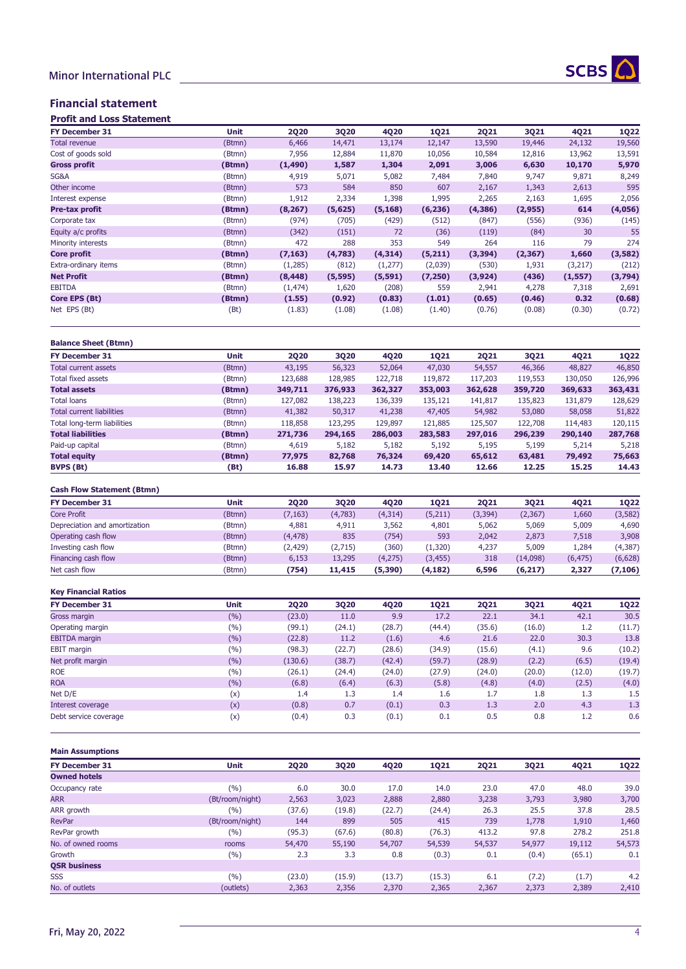

### Financial statement

| <b>FY December 31</b> | <b>Unit</b> | <b>2Q20</b> | 3Q20     | <b>4Q20</b> | <b>1Q21</b> | <b>2Q21</b> | 3Q21     | 4Q21     | <b>1Q22</b> |
|-----------------------|-------------|-------------|----------|-------------|-------------|-------------|----------|----------|-------------|
| <b>Total revenue</b>  | (Btmn)      | 6,466       | 14,471   | 13,174      | 12,147      | 13,590      | 19,446   | 24,132   | 19,560      |
| Cost of goods sold    | (Btmn)      | 7,956       | 12,884   | 11,870      | 10,056      | 10,584      | 12,816   | 13,962   | 13,591      |
| <b>Gross profit</b>   | (Btmn)      | (1, 490)    | 1,587    | 1,304       | 2,091       | 3,006       | 6,630    | 10,170   | 5,970       |
| SG&A                  | (Btmn)      | 4,919       | 5,071    | 5,082       | 7,484       | 7,840       | 9,747    | 9,871    | 8,249       |
| Other income          | (Btmn)      | 573         | 584      | 850         | 607         | 2,167       | 1,343    | 2,613    | 595         |
| Interest expense      | (Btmn)      | 1,912       | 2,334    | 1,398       | 1,995       | 2,265       | 2,163    | 1,695    | 2,056       |
| Pre-tax profit        | (Btmn)      | (8, 267)    | (5,625)  | (5, 168)    | (6, 236)    | (4,386)     | (2, 955) | 614      | (4,056)     |
| Corporate tax         | (Btmn)      | (974)       | (705)    | (429)       | (512)       | (847)       | (556)    | (936)    | (145)       |
| Equity a/c profits    | (Btmn)      | (342)       | (151)    | 72          | (36)        | (119)       | (84)     | 30       | 55          |
| Minority interests    | (Btmn)      | 472         | 288      | 353         | 549         | 264         | 116      | 79       | 274         |
| Core profit           | (Btmn)      | (7, 163)    | (4,783)  | (4, 314)    | (5,211)     | (3, 394)    | (2, 367) | 1,660    | (3, 582)    |
| Extra-ordinary items  | (Btmn)      | (1,285)     | (812)    | (1,277)     | (2,039)     | (530)       | 1,931    | (3,217)  | (212)       |
| <b>Net Profit</b>     | (Btmn)      | (8, 448)    | (5, 595) | (5, 591)    | (7, 250)    | (3, 924)    | (436)    | (1, 557) | (3,794)     |
| <b>EBITDA</b>         | (Btmn)      | (1, 474)    | 1,620    | (208)       | 559         | 2,941       | 4,278    | 7,318    | 2,691       |
| Core EPS (Bt)         | (Btmn)      | (1.55)      | (0.92)   | (0.83)      | (1.01)      | (0.65)      | (0.46)   | 0.32     | (0.68)      |
| Net EPS (Bt)          | (Bt)        | (1.83)      | (1.08)   | (1.08)      | (1.40)      | (0.76)      | (0.08)   | (0.30)   | (0.72)      |

| <b>Balance Sheet (Btmn)</b>      |        |         |             |         |             |             |         |         |             |
|----------------------------------|--------|---------|-------------|---------|-------------|-------------|---------|---------|-------------|
| <b>FY December 31</b>            | Unit   | 2020    | <b>3Q20</b> | 4Q20    | <b>1Q21</b> | <b>2Q21</b> | 3Q21    | 4Q21    | <b>1Q22</b> |
| <b>Total current assets</b>      | (Btmn) | 43,195  | 56,323      | 52,064  | 47,030      | 54,557      | 46,366  | 48,827  | 46,850      |
| Total fixed assets               | (Btmn) | 123,688 | 128,985     | 122,718 | 119,872     | 117,203     | 119,553 | 130,050 | 126,996     |
| <b>Total assets</b>              | (Btmn) | 349,711 | 376,933     | 362,327 | 353,003     | 362,628     | 359,720 | 369,633 | 363,431     |
| <b>Total loans</b>               | (Btmn) | 127,082 | 138,223     | 136,339 | 135,121     | 141,817     | 135,823 | 131,879 | 128,629     |
| <b>Total current liabilities</b> | (Btmn) | 41,382  | 50,317      | 41,238  | 47,405      | 54,982      | 53,080  | 58,058  | 51,822      |
| Total long-term liabilities      | (Btmn) | 118,858 | 123,295     | 129,897 | 121,885     | 125,507     | 122,708 | 114,483 | 120,115     |
| <b>Total liabilities</b>         | (Btmn) | 271,736 | 294,165     | 286,003 | 283,583     | 297,016     | 296,239 | 290,140 | 287,768     |
| Paid-up capital                  | (Btmn) | 4,619   | 5,182       | 5,182   | 5,192       | 5,195       | 5,199   | 5,214   | 5,218       |
| <b>Total equity</b>              | (Btmn) | 77,975  | 82,768      | 76,324  | 69,420      | 65,612      | 63,481  | 79,492  | 75,663      |
| <b>BVPS (Bt)</b>                 | (Bt)   | 16.88   | 15.97       | 14.73   | 13.40       | 12.66       | 12.25   | 15.25   | 14.43       |

### **Cash Flow Statement (Btmn)**

| <b>FY December 31</b>         | Unit   | 2020     | 3020    | <b>4Q20</b> | <b>1Q21</b> | <b>2Q21</b> | 3Q21     | 4021     | 1022     |
|-------------------------------|--------|----------|---------|-------------|-------------|-------------|----------|----------|----------|
| Core Profit                   | (Btmn) | (7, 163) | (4,783) | (4, 314)    | (5,211)     | (3, 394)    | (2, 367) | 1,660    | (3, 582) |
| Depreciation and amortization | (Btmn) | 4,881    | 4.911   | 3,562       | 4,801       | 5,062       | 5,069    | 5,009    | 4,690    |
| Operating cash flow           | (Btmn) | (4, 478) | 835     | (754)       | 593         | 2.042       | 2,873    | 7,518    | 3,908    |
| Investing cash flow           | (Btmn) | (2, 429) | (2,715) | (360)       | (1,320)     | 4,237       | 5,009    | 1,284    | (4, 387) |
| Financing cash flow           | (Btmn) | 6.153    | 13,295  | (4,275)     | (3, 455)    | 318         | (14,098) | (6, 475) | (6,628)  |
| Net cash flow                 | (Btmn) | (754)    | 11,415  | (5,390)     | (4, 182)    | 6,596       | (6,217)  | 2,327    | (7,106)  |

### **Key Financial Ratios**

| <b>FY December 31</b> | Unit  | <b>2Q20</b> | 3Q20   | <b>4Q20</b> | <b>1Q21</b> | <b>2Q21</b> | 3Q21   | 4Q21   | <b>1Q22</b> |
|-----------------------|-------|-------------|--------|-------------|-------------|-------------|--------|--------|-------------|
| Gross margin          | (%)   | (23.0)      | 11.0   | 9.9         | 17.2        | 22.1        | 34.1   | 42.1   | 30.5        |
| Operating margin      | (9/0) | (99.1)      | (24.1) | (28.7)      | (44.4)      | (35.6)      | (16.0) | 1.2    | (11.7)      |
| <b>EBITDA</b> margin  | (%)   | (22.8)      | 11.2   | (1.6)       | 4.6         | 21.6        | 22.0   | 30.3   | 13.8        |
| <b>EBIT</b> margin    | (%)   | (98.3)      | (22.7) | (28.6)      | (34.9)      | (15.6)      | (4.1)  | 9.6    | (10.2)      |
| Net profit margin     | (%)   | (130.6)     | (38.7) | (42.4)      | (59.7)      | (28.9)      | (2.2)  | (6.5)  | (19.4)      |
| <b>ROE</b>            | (9/0) | (26.1)      | (24.4) | (24.0)      | (27.9)      | (24.0)      | (20.0) | (12.0) | (19.7)      |
| <b>ROA</b>            | (%)   | (6.8)       | (6.4)  | (6.3)       | (5.8)       | (4.8)       | (4.0)  | (2.5)  | (4.0)       |
| Net D/E               | (x)   | 1.4         | 1.3    | 1.4         | 1.6         | 1.7         | 1.8    | 1.3    | 1.5         |
| Interest coverage     | (x)   | (0.8)       | 0.7    | (0.1)       | 0.3         | 1.3         | 2.0    | 4.3    | 1.3         |
| Debt service coverage | (x)   | (0.4)       | 0.3    | (0.1)       | 0.1         | 0.5         | 0.8    | 1.2    | 0.6         |

#### **Main Assumptions**

| <b>FY December 31</b> | <b>Unit</b>     | 2020   | 3020   | 4Q20   | <b>1Q21</b> | <b>2Q21</b> | 3Q21   | 4Q21   | <b>1Q22</b> |  |
|-----------------------|-----------------|--------|--------|--------|-------------|-------------|--------|--------|-------------|--|
| <b>Owned hotels</b>   |                 |        |        |        |             |             |        |        |             |  |
| Occupancy rate        | (%)             | 6.0    | 30.0   | 17.0   | 14.0        | 23.0        | 47.0   | 48.0   | 39.0        |  |
| <b>ARR</b>            | (Bt/room/night) | 2,563  | 3,023  | 2,888  | 2,880       | 3,238       | 3,793  | 3,980  | 3,700       |  |
| ARR growth            | (9/0)           | (37.6) | (19.8) | (22.7) | (24.4)      | 26.3        | 25.5   | 37.8   | 28.5        |  |
| <b>RevPar</b>         | (Bt/room/night) | 144    | 899    | 505    | 415         | 739         | 1,778  | 1,910  | 1,460       |  |
| RevPar growth         | (%)             | (95.3) | (67.6) | (80.8) | (76.3)      | 413.2       | 97.8   | 278.2  | 251.8       |  |
| No. of owned rooms    | rooms           | 54,470 | 55,190 | 54,707 | 54,539      | 54,537      | 54,977 | 19,112 | 54,573      |  |
| Growth                | (%)             | 2.3    | 3.3    | 0.8    | (0.3)       | 0.1         | (0.4)  | (65.1) | 0.1         |  |
| <b>OSR business</b>   |                 |        |        |        |             |             |        |        |             |  |
| <b>SSS</b>            | (%)             | (23.0) | (15.9) | (13.7) | (15.3)      | 6.1         | (7.2)  | (1.7)  | 4.2         |  |
| No. of outlets        | (outlets)       | 2,363  | 2,356  | 2,370  | 2,365       | 2,367       | 2,373  | 2,389  | 2,410       |  |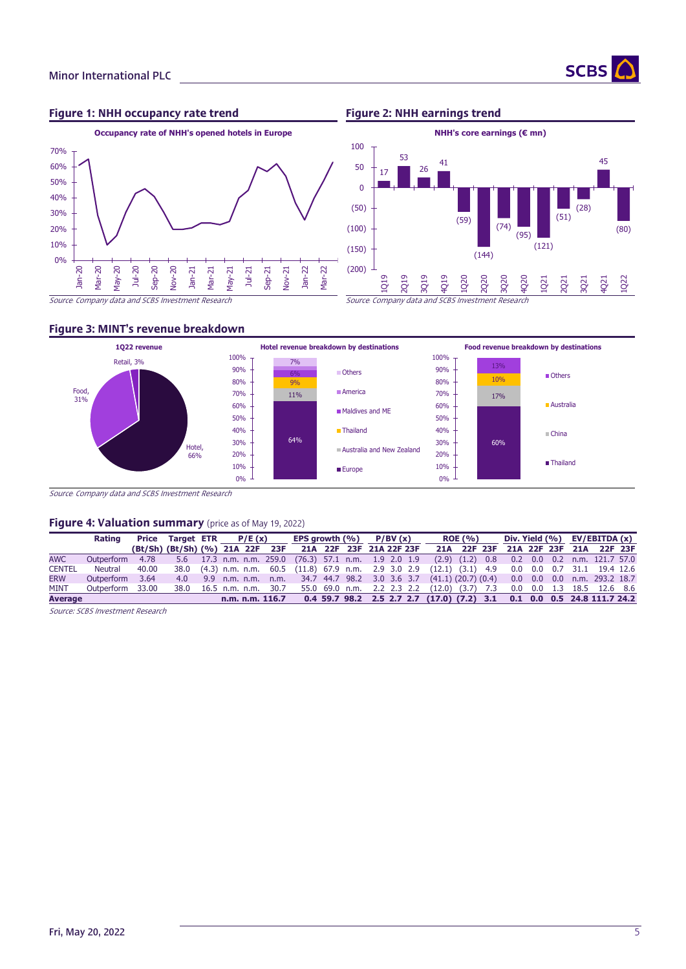

### Figure 1: NHH occupancy rate trend Figure 2: NHH earnings trend





#### Figure 3: MINT's revenue breakdown



Source*:* Company data and SCBS Investment Research

#### Figure 4: Valuation summary (price as of May 19, 2022)

|                | Rating           |       |  | Price Target ETR $P/E(x)$                                                                          | EPS growth $(\%)$ P/BV $(x)$ |  |  |  | <b>ROE (%)</b> |                                     |  |  |  |  | Div. Yield $(% )$ EV/EBITDA $(x)$ |  |                               |  |
|----------------|------------------|-------|--|----------------------------------------------------------------------------------------------------|------------------------------|--|--|--|----------------|-------------------------------------|--|--|--|--|-----------------------------------|--|-------------------------------|--|
|                |                  |       |  | (Bt/Sh) (Bt/Sh) (%) 21A 22F 23F 21A 22F 23F 21A 22F 23F                                            |                              |  |  |  |                | 21A 22F 23F 21A 22F 23F 21A 22F 23F |  |  |  |  |                                   |  |                               |  |
| <b>AWC</b>     | Outperform       | 4.78  |  | 5.6 17.3 n.m. n.m. 259.0 (76.3) 57.1 n.m. 1.9 2.0 1.9                                              |                              |  |  |  |                | $(2.9)$ $(1.2)$ 0.8                 |  |  |  |  |                                   |  | $0.2$ 0.0 0.2 n.m. 121.7 57.0 |  |
| <b>CENTEL</b>  | Neutral          | 40.00 |  | 38.0 (4.3) n.m. n.m. 60.5 (11.8) 67.9 n.m. 2.9 3.0 2.9 (12.1) (3.1) 4.9 0.0 0.0 0.7 31.1 19.4 12.6 |                              |  |  |  |                |                                     |  |  |  |  |                                   |  |                               |  |
| <b>ERW</b>     | Outperform 3.64  |       |  | 4.0 9.9 n.m. n.m. n.m. 34.7 44.7 98.2 3.0 3.6 3.7 (41.1) (20.7) (0.4) 0.0 0.0 0.0 n.m. 293.2 18.7  |                              |  |  |  |                |                                     |  |  |  |  |                                   |  |                               |  |
| <b>MINT</b>    | Outperform 33.00 |       |  | 38.0 16.5 n.m. n.m. 30.7 55.0 69.0 n.m. 2.2 2.3 2.2 (12.0) (3.7) 7.3                               |                              |  |  |  |                |                                     |  |  |  |  |                                   |  | 0.0 0.0 1.3 18.5 12.6 8.6     |  |
| <b>Average</b> |                  |       |  | n.m. n.m. 116.7 0.4 59.7 98.2 2.5 2.7 2.7 (17.0) (7.2) 3.1 0.1 0.0 0.5 24.8 111.7 24.2             |                              |  |  |  |                |                                     |  |  |  |  |                                   |  |                               |  |

Source: SCBS Investment Research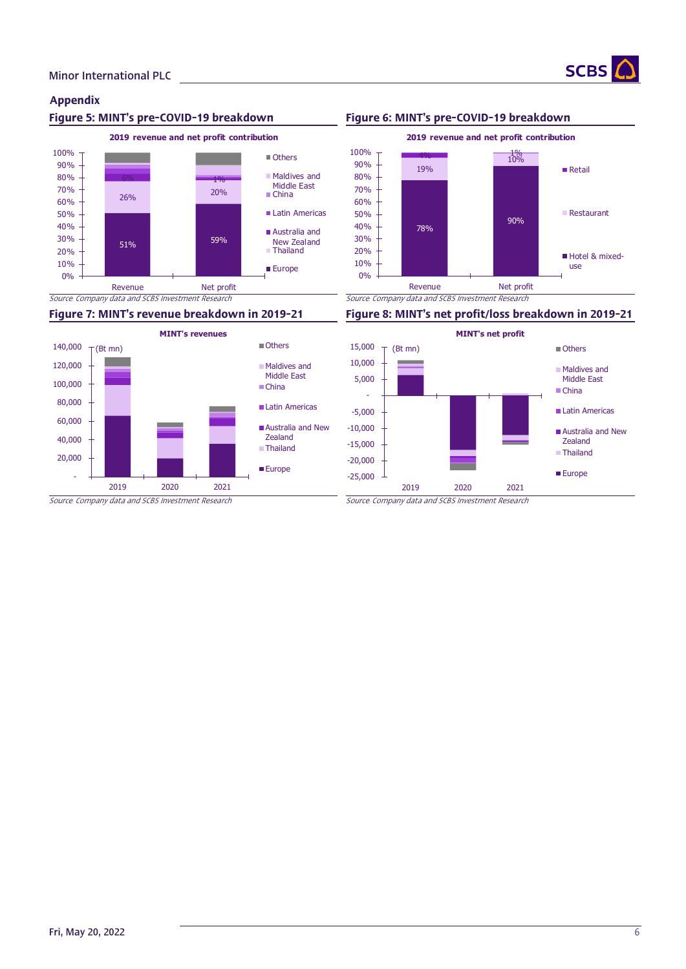

## Appendix





### Figure 5: MINT's pre-COVID-19 breakdown Figure 6: MINT's pre-COVID-19 breakdown



### Figure 7: MINT's revenue breakdown in 2019-21 Figure 8: MINT's net profit/loss breakdown in 2019-21

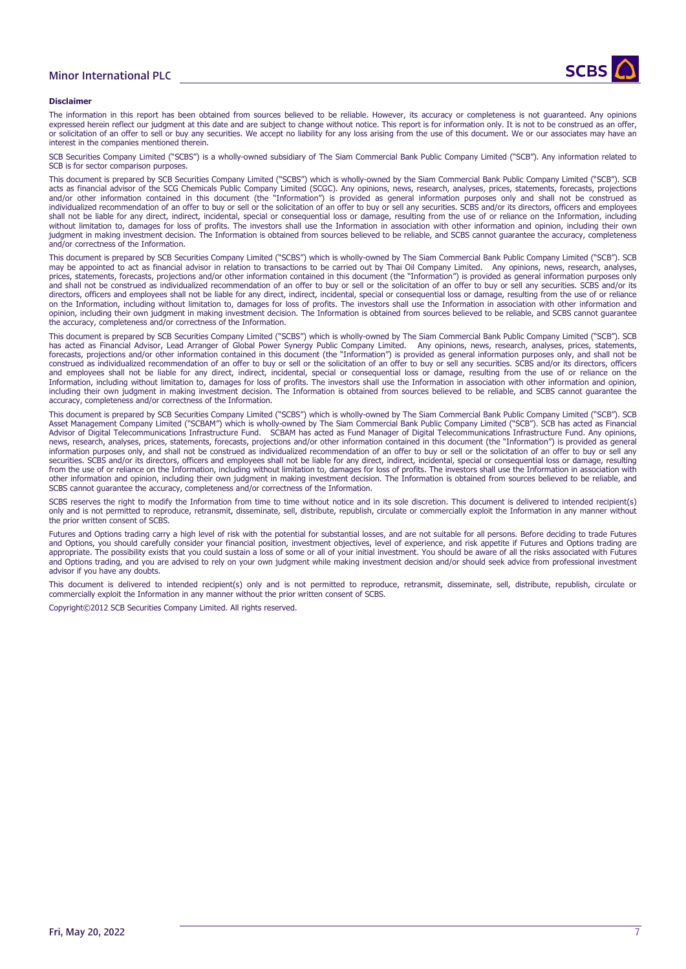#### Minor International PLC



#### **Disclaimer**

The information in this report has been obtained from sources believed to be reliable. However, its accuracy or completeness is not guaranteed. Any opinions expressed herein reflect our judgment at this date and are subject to change without notice. This report is for information only. It is not to be construed as an offer, or solicitation of an offer to sell or buy any securities. We accept no liability for any loss arising from the use of this document. We or our associates may have an interest in the companies mentioned therein.

SCB Securities Company Limited ("SCBS") is a wholly-owned subsidiary of The Siam Commercial Bank Public Company Limited ("SCB"). Any information related to SCB is for sector comparison purposes.

This document is prepared by SCB Securities Company Limited ("SCBS") which is wholly-owned by the Siam Commercial Bank Public Company Limited ("SCB"). SCB acts as financial advisor of the SCG Chemicals Public Company Limited (SCGC). Any opinions, news, research, analyses, prices, statements, forecasts, projections and/or other information contained in this document (the "Information") is provided as general information purposes only and shall not be construed as individualized recommendation of an offer to buy or sell or the solicitation of an offer to buy or sell any securities. SCBS and/or its directors, officers and employees shall not be liable for any direct, indirect, incidental, special or consequential loss or damage, resulting from the use of or reliance on the Information, including without limitation to, damages for loss of profits. The investors shall use the Information in association with other information and opinion, including their own judgment in making investment decision. The Information is obtained from sources believed to be reliable, and SCBS cannot guarantee the accuracy, completeness and/or correctness of the Information.

This document is prepared by SCB Securities Company Limited ("SCBS") which is wholly-owned by The Siam Commercial Bank Public Company Limited ("SCB"). SCB may be appointed to act as financial advisor in relation to transactions to be carried out by Thai Oil Company Limited. Any opinions, news, research, analyses, prices, statements, forecasts, projections and/or other information contained in this document (the "Information") is provided as general information purposes only and shall not be construed as individualized recommendation of an offer to buy or sell or the solicitation of an offer to buy or sell any securities. SCBS and/or its directors, officers and employees shall not be liable for any direct, indirect, incidental, special or consequential loss or damage, resulting from the use of or reliance<br>on the Information, including without limitation to opinion, including their own judgment in making investment decision. The Information is obtained from sources believed to be reliable, and SCBS cannot guarantee the accuracy, completeness and/or correctness of the Information.

This document is prepared by SCB Securities Company Limited ("SCBS") which is wholly-owned by The Siam Commercial Bank Public Company Limited ("SCB"). SCB has acted as Financial Advisor, Lead Arranger of Global Power Synergy Public Company Limited. Any opinions, news, research, analyses, prices, statements, forecasts, projections and/or other information contained in this document (the "Information") is provided as general information purposes only, and shall not be construed as individualized recommendation of an offer to buy or sell or the solicitation of an offer to buy or sell any securities. SCBS and/or its directors, officers and employees shall not be liable for any direct, indirect, incidental, special or consequential loss or damage, resulting from the use of or reliance on the Information, including without limitation to, damages for loss of profits. The investors shall use the Information in association with other information and opinion, including their own judgment in making investment decision. The Information is obtained from sources believed to be reliable, and SCBS cannot guarantee the accuracy, completeness and/or correctness of the Information.

This document is prepared by SCB Securities Company Limited ("SCBS") which is wholly-owned by The Siam Commercial Bank Public Company Limited ("SCB"). SCB Asset Management Company Limited ("SCBAM") which is wholly-owned by The Siam Commercial Bank Public Company Limited ("SCB"). SCB has acted as Financial Advisor of Digital Telecommunications Infrastructure Fund. SCBAM has acted as Fund Manager of Digital Telecommunications Infrastructure Fund. Any opinions, news, research, analyses, prices, statements, forecasts, projections and/or other information contained in this document (the "Information") is provided as general information purposes only, and shall not be construed as individualized recommendation of an offer to buy or sell or the solicitation of an offer to buy or sell any securities. SCBS and/or its directors, officers and employees shall not be liable for any direct, indirect, incidental, special or consequential loss or damage, resulting from the use of or reliance on the Information, including without limitation to, damages for loss of profits. The investors shall use the Information in association with other information and opinion, including their own judgment in making investment decision. The Information is obtained from sources believed to be reliable, and SCBS cannot guarantee the accuracy, completeness and/or correctness of the Information.

SCBS reserves the right to modify the Information from time to time without notice and in its sole discretion. This document is delivered to intended recipient(s) only and is not permitted to reproduce, retransmit, disseminate, sell, distribute, republish, circulate or commercially exploit the Information in any manner without the prior written consent of SCBS.

Futures and Options trading carry a high level of risk with the potential for substantial losses, and are not suitable for all persons. Before deciding to trade Futures and Options, you should carefully consider your financial position, investment objectives, level of experience, and risk appetite if Futures and Options trading are appropriate. The possibility exists that you could sustain a loss of some or all of your initial investment. You should be aware of all the risks associated with Futures and Options trading, and you are advised to rely on your own judgment while making investment decision and/or should seek advice from professional investment advisor if you have any doubts.

This document is delivered to intended recipient(s) only and is not permitted to reproduce, retransmit, disseminate, sell, distribute, republish, circulate or commercially exploit the Information in any manner without the prior written consent of SCBS.

Copyright©2012 SCB Securities Company Limited. All rights reserved.